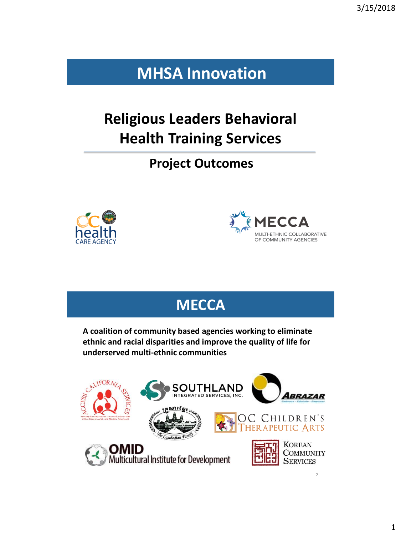## **MHSA Innovation**

# **Religious Leaders Behavioral Health Training Services**

**Project Outcomes** 





## **MECCA**

**A coalition of community based agencies working to eliminate ethnic and racial disparities and improve the quality of life for underserved multi-ethnic communities**

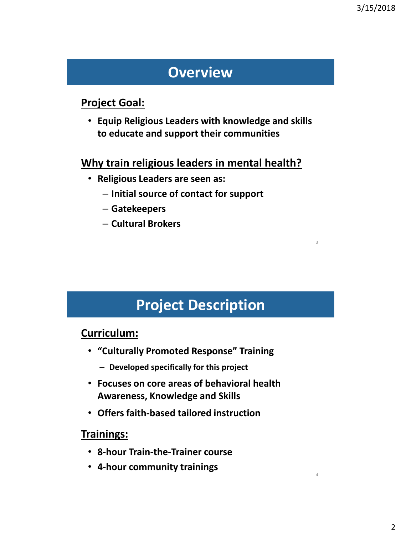3

4

### **Overview**

#### **Project Goal:**

• **Equip Religious Leaders with knowledge and skills to educate and support their communities**

#### **Why train religious leaders in mental health?**

- **Religious Leaders are seen as:** 
	- **Initial source of contact for support**
	- **Gatekeepers**
	- **Cultural Brokers**

### **Project Description**

#### **Curriculum:**

- **"Culturally Promoted Response" Training** 
	- **Developed specifically for this project**
- **Focuses on core areas of behavioral health Awareness, Knowledge and Skills**
- **Offers faith-based tailored instruction**

#### **Trainings:**

- **8-hour Train-the-Trainer course**
- **4-hour community trainings**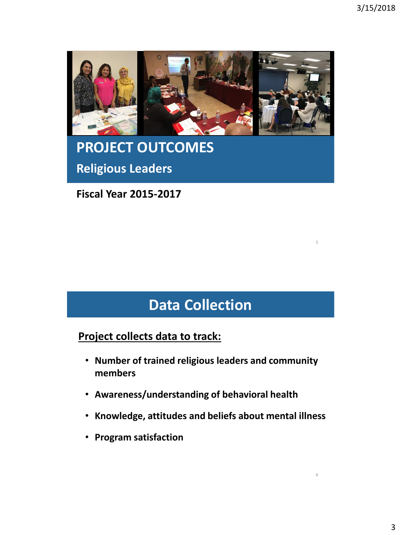5

6



# **PROJECT OUTCOMES Religious Leaders**

**Fiscal Year 2015-2017**

# **Data Collection**

**Project collects data to track:**

- **Number of trained religious leaders and community members**
- **Awareness/understanding of behavioral health**
- **Knowledge, attitudes and beliefs about mental illness**
- **Program satisfaction**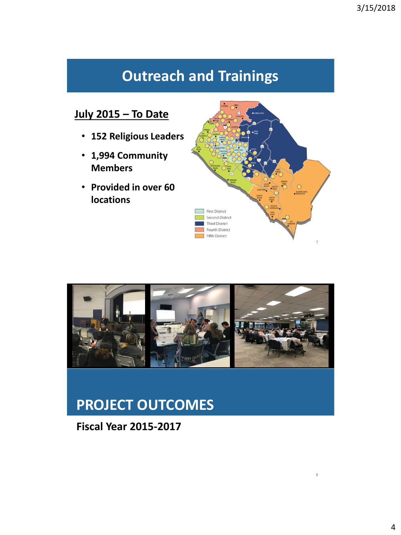# **Outreach and Trainings**

#### **July 2015 – To Date**

- **152 Religious Leaders**
- **1,994 Community Members**
- **Provided in over 60 locations**





### **PROJECT OUTCOMES**

#### **Fiscal Year 2015-2017**

8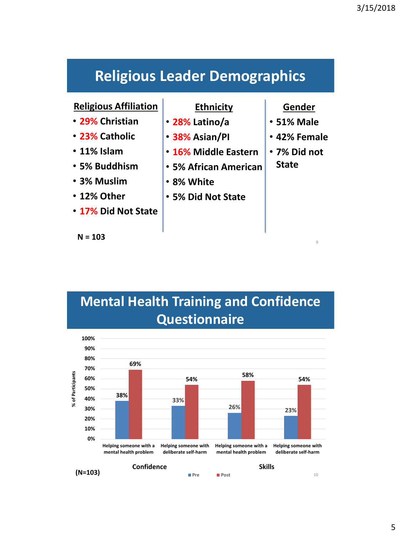## **Religious Leader Demographics**

#### **Religious Affiliation**

- **29% Christian**
- **23% Catholic**
- **11% Islam**
- **5% Buddhism**
- **3% Muslim**
- **12% Other**
- **17% Did Not State**

**N = 103**

#### **Ethnicity**

- **28% Latino/a**
- **38% Asian/PI**
- **16% Middle Eastern**
- **5% African American**
- **8% White**
- **5% Did Not State**

#### **Gender**

- **51% Male**
- **42% Female**
- **7% Did not State**

9



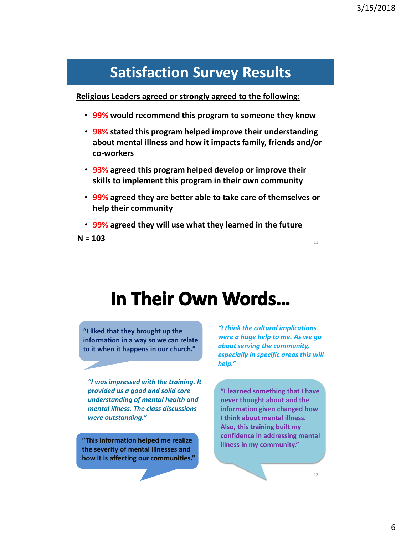### **Satisfaction Survey Results**

**Religious Leaders agreed or strongly agreed to the following:** 

- **99% would recommend this program to someone they know**
- **98% stated this program helped improve their understanding about mental illness and how it impacts family, friends and/or co-workers**
- **93% agreed this program helped develop or improve their skills to implement this program in their own community**
- **99% agreed they are better able to take care of themselves or help their community**
- **99% agreed they will use what they learned in the future**

 $N = 103$ 

# In Their Own Words...

**"I liked that they brought up the information in a way so we can relate to it when it happens in our church."**

*"I was impressed with the training. It provided us a good and solid core understanding of mental health and mental illness. The class discussions were outstanding."*

**"This information helped me realize the severity of mental illnesses and how it is affecting our communities."** 

*"I think the cultural implications were a huge help to me. As we go about serving the community, especially in specific areas this will help."* 

**"I learned something that I have never thought about and the information given changed how I think about mental illness. Also, this training built my confidence in addressing mental illness in my community."**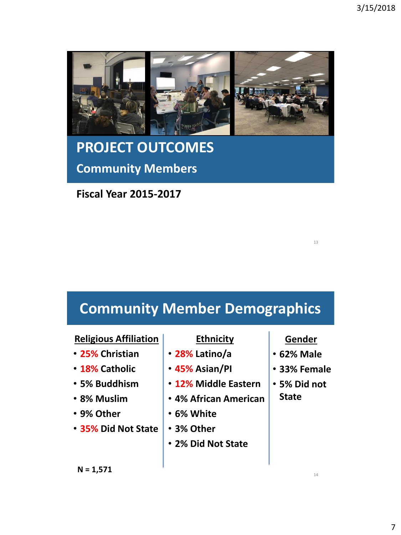

# **PROJECT OUTCOMES Community Members**

**Fiscal Year 2015-2017**

# **Community Member Demographics**

#### **Religious Affiliation**

- **25% Christian**
- **18% Catholic**
- **5% Buddhism**
- **8% Muslim**
- **9% Other**
- **35% Did Not State**

#### **N = 1,571**

#### **Ethnicity**

- **28% Latino/a**
- **45% Asian/PI**
- **12% Middle Eastern**
- **4% African American**
- **6% White**
- **3% Other**
- **2% Did Not State**

14

13

**Gender** • **62% Male**

• **33% Female**

• **5% Did not** 

**State**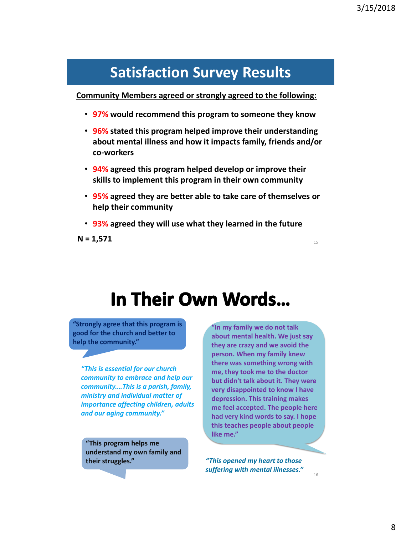### **Satisfaction Survey Results**

**Community Members agreed or strongly agreed to the following:** 

- **97% would recommend this program to someone they know**
- **96% stated this program helped improve their understanding about mental illness and how it impacts family, friends and/or co-workers**
- **94% agreed this program helped develop or improve their skills to implement this program in their own community**
- **95% agreed they are better able to take care of themselves or help their community**
- **93% agreed they will use what they learned in the future**

 $N = 1,571$ 

# In Their Own Words...

**"Strongly agree that this program is good for the church and better to help the community."**

*"This is essential for our church community to embrace and help our community.…This is a parish, family, ministry and individual matter of importance affecting children, adults and our aging community."* 

**"This program helps me understand my own family and their struggles."** 

**"In my family we do not talk about mental health. We just say they are crazy and we avoid the person. When my family knew there was something wrong with me, they took me to the doctor but didn't talk about it. They were very disappointed to know I have depression. This training makes me feel accepted. The people here had very kind words to say. I hope this teaches people about people like me."**

*"This opened my heart to those suffering with mental illnesses."*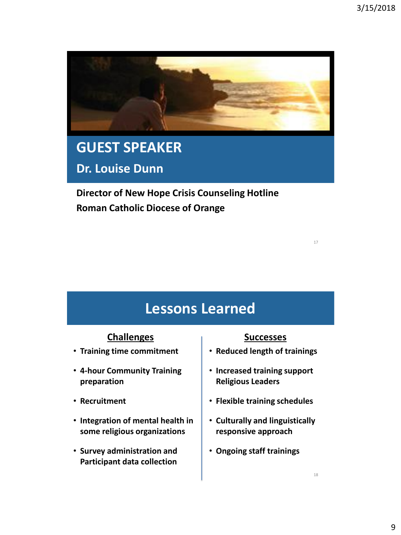

# **GUEST SPEAKER**

**Dr. Louise Dunn**

**Director of New Hope Crisis Counseling Hotline Roman Catholic Diocese of Orange**

**Lessons Learned**

#### **Challenges**

- **Training time commitment**
- **4-hour Community Training preparation**
- **Recruitment**
- **Integration of mental health in some religious organizations**
- **Survey administration and Participant data collection**

#### **Successes**

- **Reduced length of trainings**
- **Increased training support Religious Leaders**
- **Flexible training schedules**
- **Culturally and linguistically responsive approach**
- **Ongoing staff trainings**

17